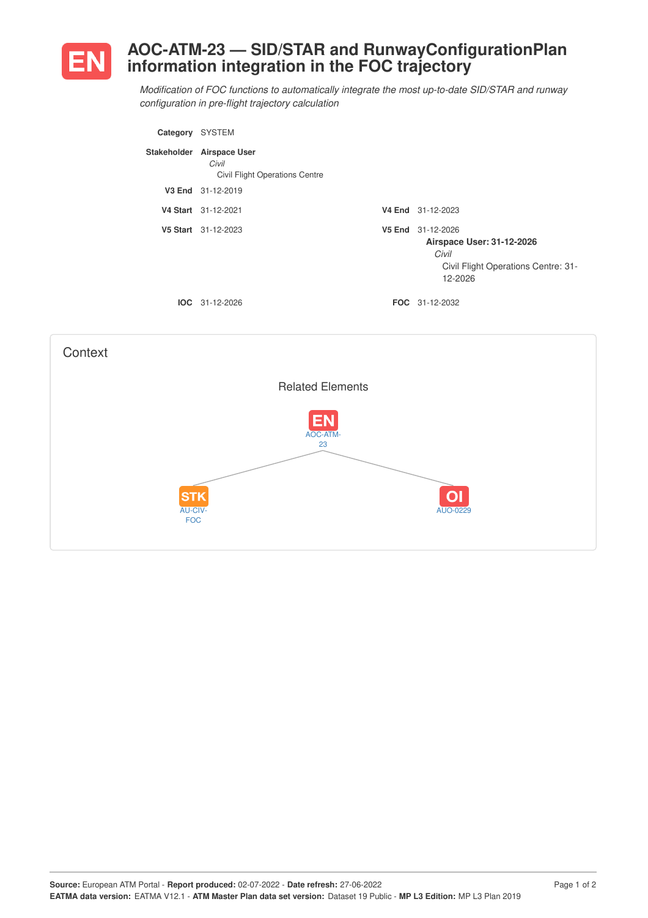

## **AOC-ATM-23 — SID/STAR and RunwayConfigurationPlan information integration in the FOC trajectory**

*Modification of FOC functions to automatically integrate the most up-to-date SID/STAR and runway configuration in pre-flight trajectory calculation*

| Category    | <b>SYSTEM</b>                                                   |                                                                                                           |
|-------------|-----------------------------------------------------------------|-----------------------------------------------------------------------------------------------------------|
| Stakeholder | <b>Airspace User</b><br>Civil<br>Civil Flight Operations Centre |                                                                                                           |
|             | V3 End 31-12-2019                                               |                                                                                                           |
|             | V4 Start 31-12-2021                                             | V4 End 31-12-2023                                                                                         |
|             | V5 Start 31-12-2023                                             | V5 End 31-12-2026<br>Airspace User: 31-12-2026<br>Civil<br>Civil Flight Operations Centre: 31-<br>12-2026 |
|             | $IOC 31-12-2026$                                                | <b>FOC</b> 31-12-2032                                                                                     |